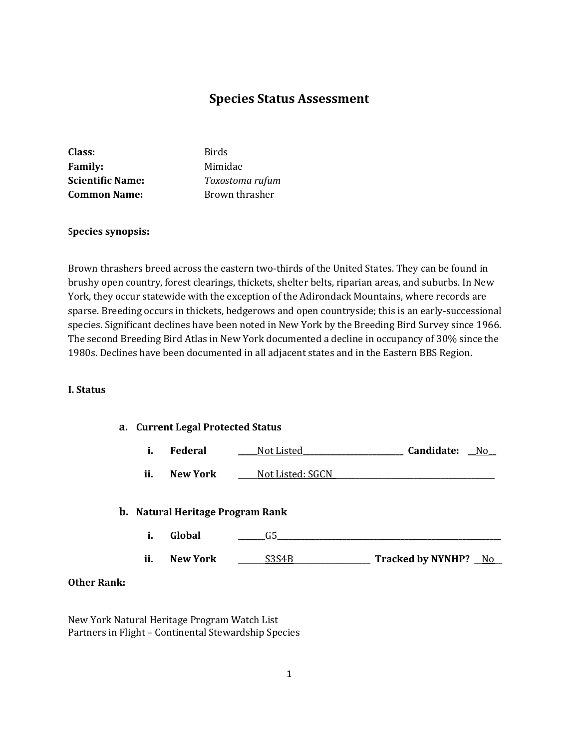# **Species Status Assessment**

| Class:                  | <b>Birds</b>    |
|-------------------------|-----------------|
| <b>Family:</b>          | Mimidae         |
| <b>Scientific Name:</b> | Toxostoma rufum |
| <b>Common Name:</b>     | Brown thrasher  |

#### S**pecies synopsis:**

Brown thrashers breed across the eastern two-thirds of the United States. They can be found in brushy open country, forest clearings, thickets, shelter belts, riparian areas, and suburbs. In New York, they occur statewide with the exception of the Adirondack Mountains, where records are sparse. Breeding occurs in thickets, hedgerows and open countryside; this is an early-successional species. Significant declines have been noted in New York by the Breeding Bird Survey since 1966. The second Breeding Bird Atlas in New York documented a decline in occupancy of 30% since the 1980s. Declines have been documented in all adjacent states and in the Eastern BBS Region.

## **I. Status**

#### **a. Current Legal Protected Status**

|  | Federal | Not Listed | Candidate: | Nc |
|--|---------|------------|------------|----|
|--|---------|------------|------------|----|

**ii. New York Not Listed: SGCN** 

#### **b. Natural Heritage Program Rank**

- **i. Global \_\_\_\_\_\_\_**G5**\_\_\_\_\_\_\_\_\_\_\_\_\_\_\_\_\_\_\_\_\_\_\_\_\_\_\_\_\_\_\_\_\_\_\_\_\_\_\_\_\_\_\_\_\_\_\_\_\_\_\_\_\_\_\_\_\_\_**
- **ii. New York \_\_\_\_\_\_\_**S3S4B**\_\_\_\_\_\_\_\_\_\_\_\_\_\_\_\_\_\_\_\_ Tracked by NYNHP? \_\_**No**\_\_**

## **Other Rank:**

New York Natural Heritage Program Watch List Partners in Flight – Continental Stewardship Species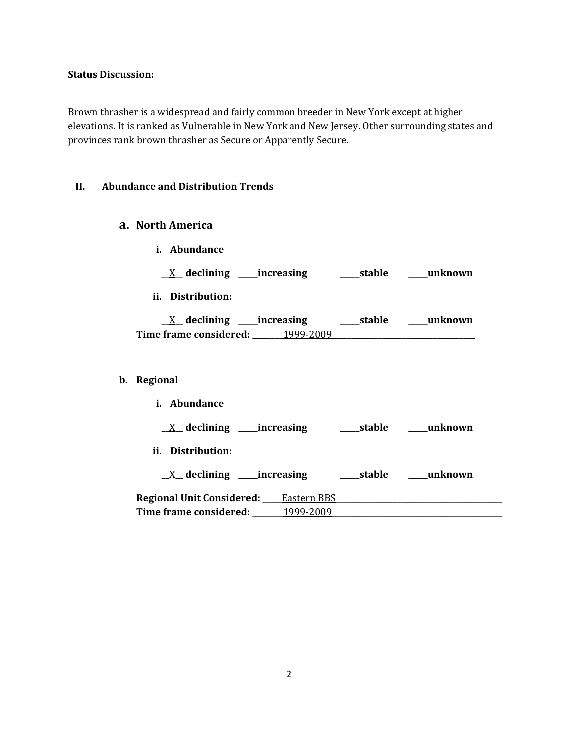# **Status Discussion:**

Brown thrasher is a widespread and fairly common breeder in New York except at higher elevations. It is ranked as Vulnerable in New York and New Jersey. Other surrounding states and provinces rank brown thrasher as Secure or Apparently Secure.

#### **II. Abundance and Distribution Trends**

# **a. North America**

- **i. Abundance**
	- \_\_X\_\_ **declining \_\_\_\_\_increasing \_\_\_\_\_stable \_\_\_\_\_unknown**
- **ii. Distribution:**

| declining __           | __increasing | ___stable | unknown |
|------------------------|--------------|-----------|---------|
| Time frame considered: | 1999-2009    |           |         |

# **b. Regional**

| Abundance<br>i.                              |           |        |         |
|----------------------------------------------|-----------|--------|---------|
| $X$ declining ______ increasing              |           | stable | unknown |
| ii.<br>Distribution:                         |           |        |         |
| $X$ declining ______ increasing              |           | stable | unknown |
| <b>Regional Unit Considered:</b> Eastern BBS |           |        |         |
| Time frame considered:                       | 1999-2009 |        |         |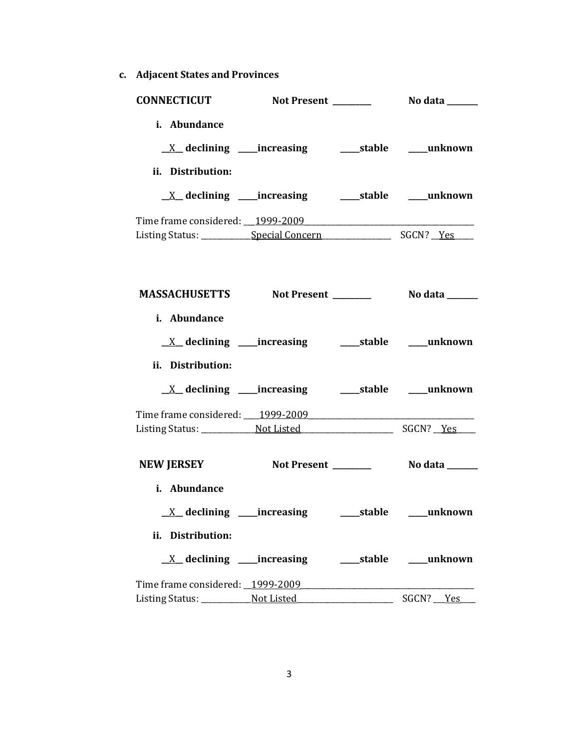**c. Adjacent States and Provinces**

| <b>CONNECTICUT</b>                                                  |                                                            |  |
|---------------------------------------------------------------------|------------------------------------------------------------|--|
| i. Abundance                                                        |                                                            |  |
|                                                                     |                                                            |  |
| ii. Distribution:                                                   |                                                            |  |
|                                                                     |                                                            |  |
| Time frame considered: 1999-2009 [19] [2010]                        |                                                            |  |
|                                                                     |                                                            |  |
| MASSACHUSETTS Not Present __________ No data ______<br>i. Abundance |                                                            |  |
|                                                                     |                                                            |  |
|                                                                     | <u>X</u> declining ____increasing ______stable ____unknown |  |
| ii. Distribution:                                                   |                                                            |  |
|                                                                     |                                                            |  |
|                                                                     |                                                            |  |
|                                                                     |                                                            |  |
| <b>NEW JERSEY</b>                                                   |                                                            |  |
| i. Abundance                                                        |                                                            |  |
| <u>X</u> declining ____increasing ______stable ____unknown          |                                                            |  |
| ii. Distribution:                                                   |                                                            |  |
|                                                                     |                                                            |  |
|                                                                     |                                                            |  |
|                                                                     |                                                            |  |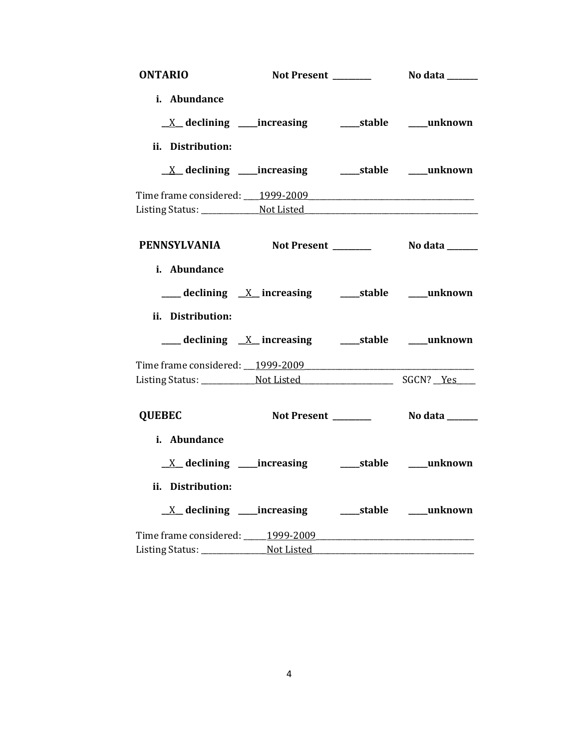| <b>ONTARIO</b>                   |                                                                                             |                          |
|----------------------------------|---------------------------------------------------------------------------------------------|--------------------------|
| i. Abundance                     |                                                                                             |                          |
|                                  |                                                                                             |                          |
| ii. Distribution:                |                                                                                             |                          |
|                                  | <u>X</u> declining ____increasing ______stable ____unknown                                  |                          |
|                                  |                                                                                             |                          |
|                                  |                                                                                             |                          |
|                                  | PENNSYLVANIA Not Present No data ______                                                     |                          |
| i. Abundance                     |                                                                                             |                          |
|                                  | $\frac{1}{2}$ declining $\frac{X}{X}$ increasing $\frac{1}{2}$ stable $\frac{1}{2}$ unknown |                          |
| ii. Distribution:                |                                                                                             |                          |
|                                  | ___ declining <u>X</u> increasing ____ stable ____ unknown                                  |                          |
| Time frame considered: 1999-2009 |                                                                                             |                          |
|                                  |                                                                                             |                          |
| <b>QUEBEC</b>                    | Not Present _______                                                                         | No data ______           |
| i. Abundance                     |                                                                                             |                          |
| $X$ declining _____increasing    |                                                                                             | _____stable _____unknown |
| ii. Distribution:                |                                                                                             |                          |
|                                  | <u>X</u> declining ____increasing ______stable ____unknown                                  |                          |
|                                  |                                                                                             |                          |
|                                  |                                                                                             |                          |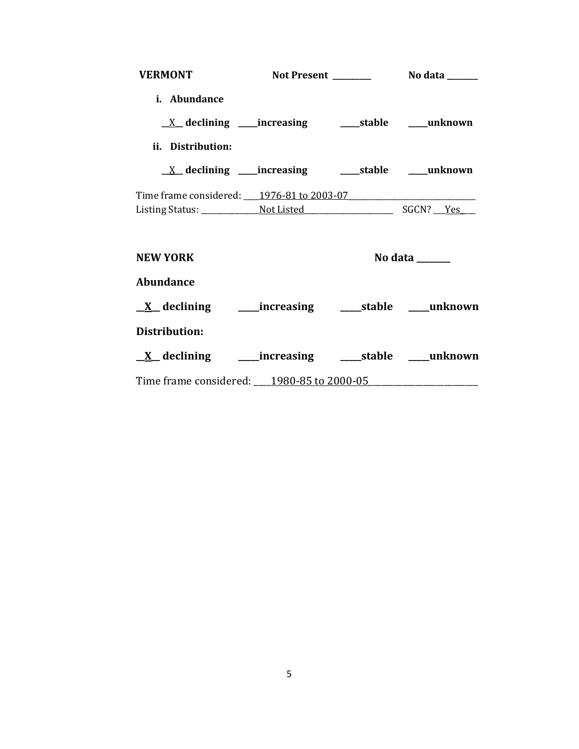| VERMONT Not Present Not at a                                    |  |                                   |
|-----------------------------------------------------------------|--|-----------------------------------|
| i. Abundance                                                    |  |                                   |
|                                                                 |  |                                   |
| ii. Distribution:                                               |  |                                   |
|                                                                 |  |                                   |
| Time frame considered: 1976-81 to 2003-07                       |  |                                   |
|                                                                 |  |                                   |
| <b>NEW YORK</b>                                                 |  | No data $\_\_\_\_\_\_\_\_\_\_\_\$ |
| <b>Abundance</b>                                                |  |                                   |
| <u>X</u> declining _______increasing _______stable _____unknown |  |                                   |
| Distribution:                                                   |  |                                   |
| <u>X</u> declining ______increasing ______stable _____unknown   |  |                                   |
| Time frame considered: 1980-85 to 2000-05                       |  |                                   |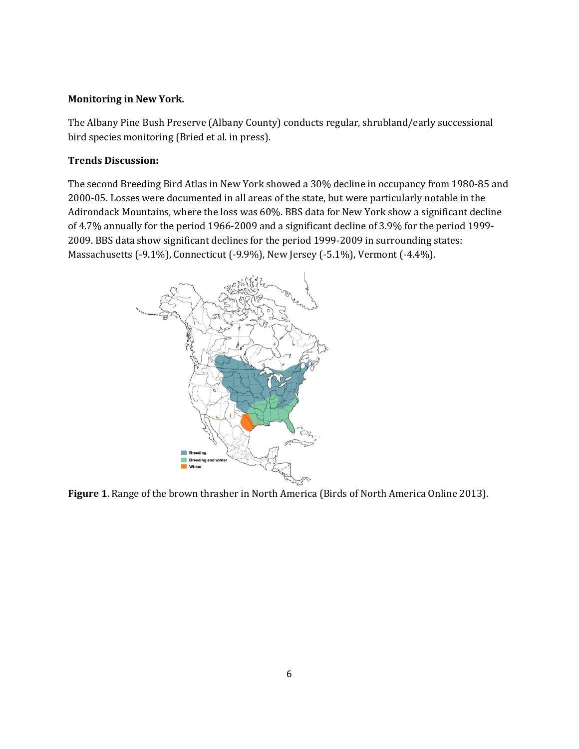# **Monitoring in New York.**

The Albany Pine Bush Preserve (Albany County) conducts regular, shrubland/early successional bird species monitoring (Bried et al. in press).

## **Trends Discussion:**

The second Breeding Bird Atlas in New York showed a 30% decline in occupancy from 1980-85 and 2000-05. Losses were documented in all areas of the state, but were particularly notable in the Adirondack Mountains, where the loss was 60%. BBS data for New York show a significant decline of 4.7% annually for the period 1966-2009 and a significant decline of 3.9% for the period 1999- 2009. BBS data show significant declines for the period 1999-2009 in surrounding states: Massachusetts (-9.1%), Connecticut (-9.9%), New Jersey (-5.1%), Vermont (-4.4%).



**Figure 1**. Range of the brown thrasher in North America (Birds of North America Online 2013).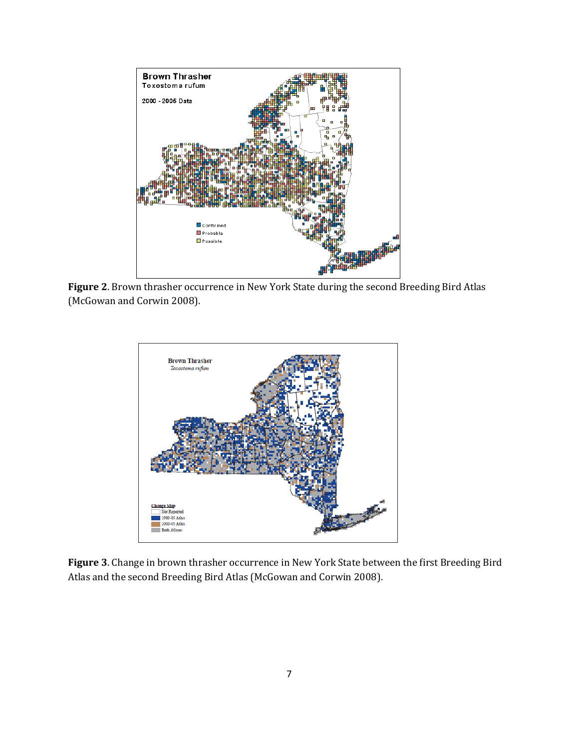

**Figure 2**. Brown thrasher occurrence in New York State during the second Breeding Bird Atlas (McGowan and Corwin 2008).



**Figure 3**. Change in brown thrasher occurrence in New York State between the first Breeding Bird Atlas and the second Breeding Bird Atlas (McGowan and Corwin 2008).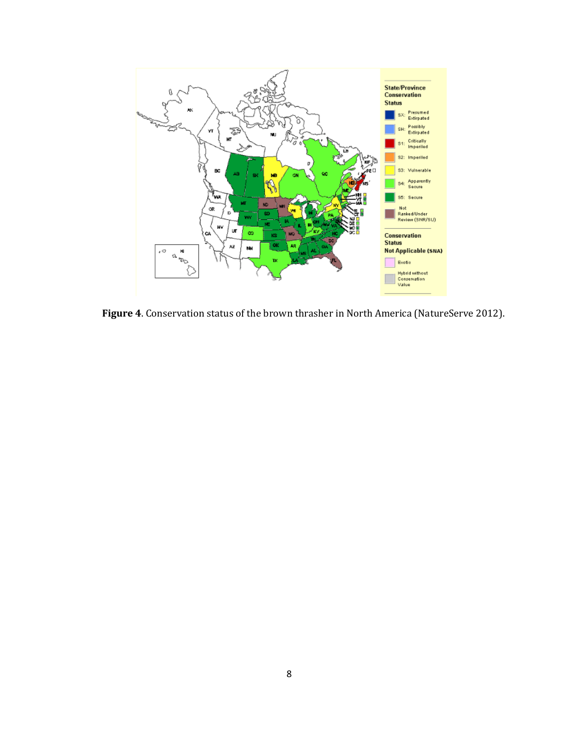

**Figure 4**. Conservation status of the brown thrasher in North America (NatureServe 2012).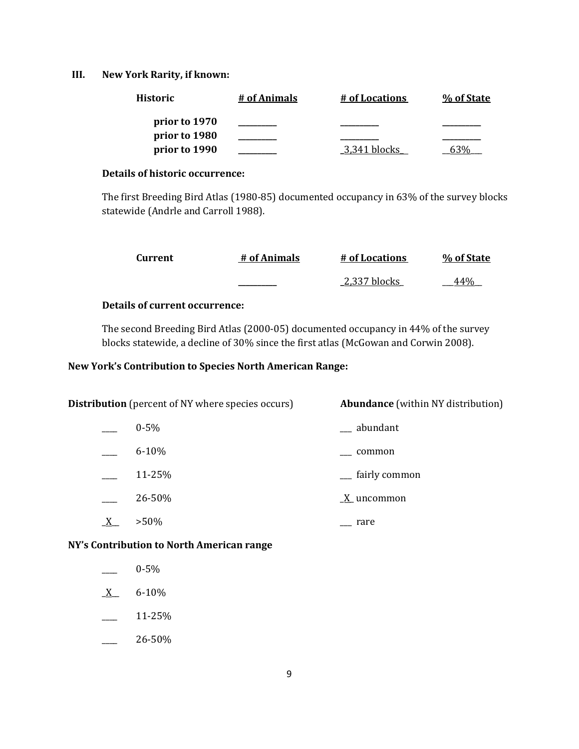## **III. New York Rarity, if known:**

| <b>Historic</b> | # of Animals | # of Locations | % of State |
|-----------------|--------------|----------------|------------|
| prior to 1970   |              |                |            |
| prior to 1980   |              |                |            |
| prior to 1990   |              | 3.341 blocks   |            |

## **Details of historic occurrence:**

The first Breeding Bird Atlas (1980-85) documented occupancy in 63% of the survey blocks statewide (Andrle and Carroll 1988).

| Current | # of Animals | # of Locations | % of State |
|---------|--------------|----------------|------------|
|         |              | 2,337 blocks   |            |

# **Details of current occurrence:**

The second Breeding Bird Atlas (2000-05) documented occupancy in 44% of the survey blocks statewide, a decline of 30% since the first atlas (McGowan and Corwin 2008).

# **New York's Contribution to Species North American Range:**

| <b>Distribution</b> (percent of NY where species occurs) |           | <b>Abundance</b> (within NY distribution) |
|----------------------------------------------------------|-----------|-------------------------------------------|
|                                                          | $0 - 5\%$ | __ abundant                               |
|                                                          | $6 - 10%$ | common                                    |
|                                                          | 11-25%    | __ fairly common                          |
|                                                          | 26-50%    | $\underline{X}$ uncommon                  |
|                                                          | $>50\%$   | rare                                      |

**NY's Contribution to North American range**

- \_\_\_\_ 0-5%
- $X$  6-10%
- $-25\%$
- \_\_\_\_ 26-50%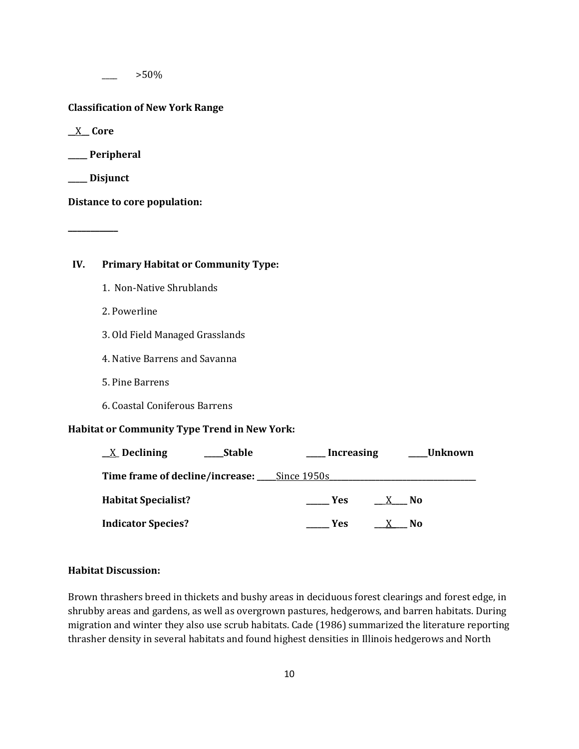$>50\%$ 

#### **Classification of New York Range**

**\_\_**X**\_\_ Core**

**\_\_\_\_\_ Peripheral**

**\_\_\_\_\_ Disjunct**

**\_\_\_\_\_\_\_\_\_\_\_**

**Distance to core population:**

# **IV. Primary Habitat or Community Type:**

- 1. Non-Native Shrublands
- 2. Powerline
- 3. Old Field Managed Grasslands
- 4. Native Barrens and Savanna
- 5. Pine Barrens
- 6. Coastal Coniferous Barrens

## **Habitat or Community Type Trend in New York:**

| $\underline{X}$ Declining  | <b>Stable</b> | Increasing                                  | Unknown |
|----------------------------|---------------|---------------------------------------------|---------|
|                            |               | Time frame of decline/increase: Since 1950s |         |
| <b>Habitat Specialist?</b> |               | <b>Yes</b>                                  | No      |
| <b>Indicator Species?</b>  |               | <b>Yes</b>                                  | No      |

#### **Habitat Discussion:**

Brown thrashers breed in thickets and bushy areas in deciduous forest clearings and forest edge, in shrubby areas and gardens, as well as overgrown pastures, hedgerows, and barren habitats. During migration and winter they also use scrub habitats. Cade (1986) summarized the literature reporting thrasher density in several habitats and found highest densities in Illinois hedgerows and North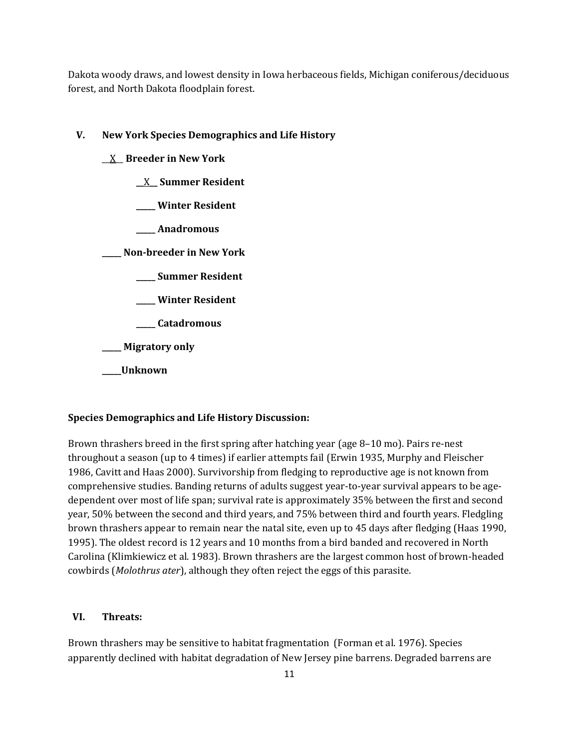Dakota woody draws, and lowest density in Iowa herbaceous fields, Michigan coniferous/deciduous forest, and North Dakota floodplain forest.

#### **V. New York Species Demographics and Life History**

- \_\_X\_\_ **Breeder in New York**
	- **\_\_**X**\_\_ Summer Resident**
	- **\_\_\_\_\_ Winter Resident**
	- **\_\_\_\_\_ Anadromous**

**\_\_\_\_\_ Non-breeder in New York**

- **\_\_\_\_\_ Summer Resident**
- **\_\_\_\_\_ Winter Resident**
- **\_\_\_\_\_ Catadromous**

**\_\_\_\_\_ Migratory only**

**\_\_\_\_\_Unknown**

#### **Species Demographics and Life History Discussion:**

Brown thrashers breed in the first spring after hatching year (age 8–10 mo). Pairs re-nest throughout a season (up to 4 times) if earlier attempts fail (Erwin 1935, Murphy and Fleischer 1986, Cavitt and Haas 2000). Survivorship from fledging to reproductive age is not known from comprehensive studies. Banding returns of adults suggest year-to-year survival appears to be agedependent over most of life span; survival rate is approximately 35% between the first and second year, 50% between the second and third years, and 75% between third and fourth years. Fledgling brown thrashers appear to remain near the natal site, even up to 45 days after fledging (Haas 1990, 1995). The oldest record is 12 years and 10 months from a bird banded and recovered in North Carolina (Klimkiewicz et al. 1983). Brown thrashers are the largest common host of brown-headed cowbirds (*Molothrus ater*), although they often reject the eggs of this parasite.

#### **VI. Threats:**

Brown thrashers may be sensitive to habitat fragmentation (Forman et al. 1976). Species apparently declined with habitat degradation of New Jersey pine barrens. Degraded barrens are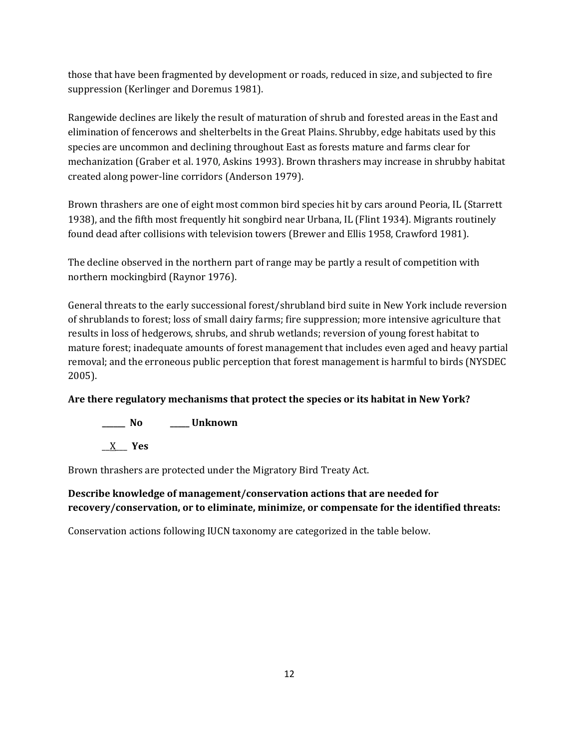those that have been fragmented by development or roads, reduced in size, and subjected to fire suppression (Kerlinger and Doremus 1981).

Rangewide declines are likely the result of maturation of shrub and forested areas in the East and elimination of fencerows and shelterbelts in the Great Plains. Shrubby, edge habitats used by this species are uncommon and declining throughout East as forests mature and farms clear for mechanization (Graber et al. 1970, Askins 1993). Brown thrashers may increase in shrubby habitat created along power-line corridors (Anderson 1979).

Brown thrashers are one of eight most common bird species hit by cars around Peoria, IL (Starrett 1938), and the fifth most frequently hit songbird near Urbana, IL (Flint 1934). Migrants routinely found dead after collisions with television towers (Brewer and Ellis 1958, Crawford 1981).

The decline observed in the northern part of range may be partly a result of competition with northern mockingbird (Raynor 1976).

General threats to the early successional forest/shrubland bird suite in New York include reversion of shrublands to forest; loss of small dairy farms; fire suppression; more intensive agriculture that results in loss of hedgerows, shrubs, and shrub wetlands; reversion of young forest habitat to mature forest; inadequate amounts of forest management that includes even aged and heavy partial removal; and the erroneous public perception that forest management is harmful to birds (NYSDEC 2005).

# **Are there regulatory mechanisms that protect the species or its habitat in New York?**

**\_\_\_\_\_\_ No \_\_\_\_\_ Unknown**

\_\_X\_\_\_ **Yes** 

Brown thrashers are protected under the Migratory Bird Treaty Act.

# **Describe knowledge of management/conservation actions that are needed for recovery/conservation, or to eliminate, minimize, or compensate for the identified threats:**

Conservation actions following IUCN taxonomy are categorized in the table below.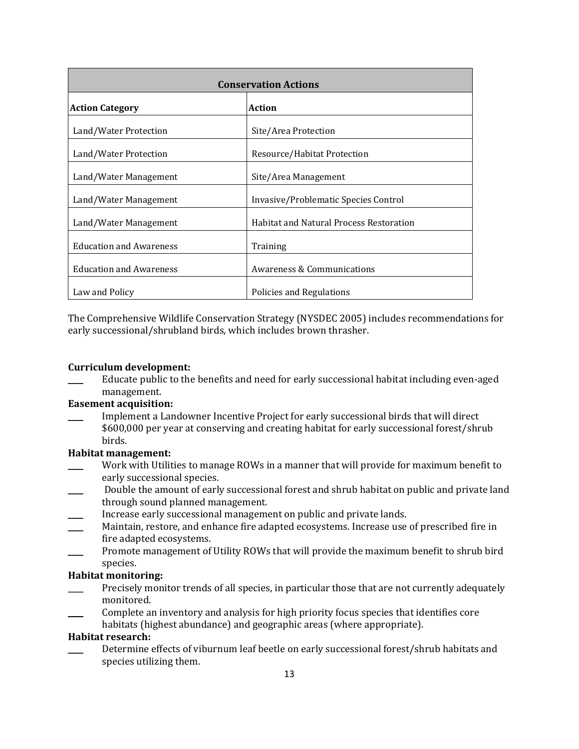| <b>Conservation Actions</b>             |                                                |  |
|-----------------------------------------|------------------------------------------------|--|
| <b>Action</b><br><b>Action Category</b> |                                                |  |
| Land/Water Protection                   | Site/Area Protection                           |  |
| Land/Water Protection                   | Resource/Habitat Protection                    |  |
| Land/Water Management                   | Site/Area Management                           |  |
| Land/Water Management                   | Invasive/Problematic Species Control           |  |
| Land/Water Management                   | <b>Habitat and Natural Process Restoration</b> |  |
| <b>Education and Awareness</b>          | Training                                       |  |
| <b>Education and Awareness</b>          | Awareness & Communications                     |  |
| Law and Policy                          | Policies and Regulations                       |  |

The Comprehensive Wildlife Conservation Strategy (NYSDEC 2005) includes recommendations for early successional/shrubland birds, which includes brown thrasher.

## **Curriculum development:**

Educate public to the benefits and need for early successional habitat including even-aged management.

## **Easement acquisition:**

\_\_\_\_ Implement a Landowner Incentive Project for early successional birds that will direct \$600,000 per year at conserving and creating habitat for early successional forest/shrub birds.

## **Habitat management:**

- Work with Utilities to manage ROWs in a manner that will provide for maximum benefit to early successional species.
- Double the amount of early successional forest and shrub habitat on public and private land through sound planned management.
- Increase early successional management on public and private lands.
- Maintain, restore, and enhance fire adapted ecosystems. Increase use of prescribed fire in fire adapted ecosystems.
- Promote management of Utility ROWs that will provide the maximum benefit to shrub bird species.

#### **Habitat monitoring:**

- Precisely monitor trends of all species, in particular those that are not currently adequately monitored.
- \_\_\_\_ Complete an inventory and analysis for high priority focus species that identifies core
- habitats (highest abundance) and geographic areas (where appropriate).

## **Habitat research:**

Determine effects of viburnum leaf beetle on early successional forest/shrub habitats and species utilizing them.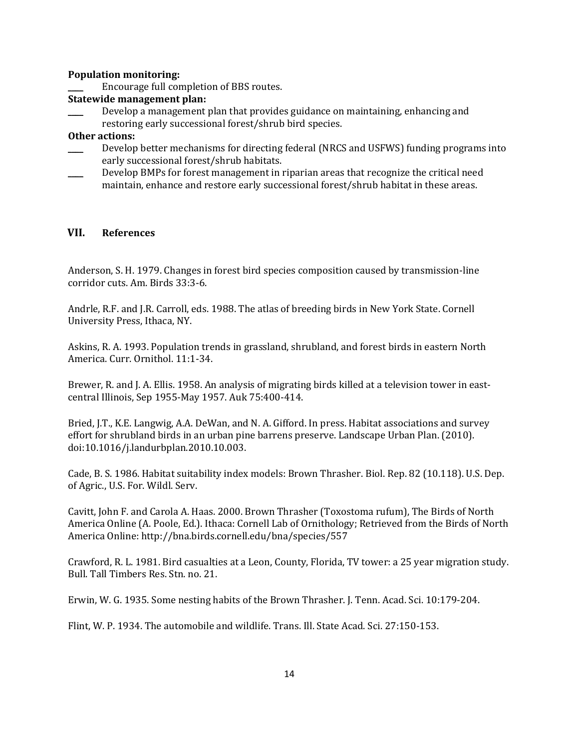#### **Population monitoring:**

Encourage full completion of BBS routes.

#### **Statewide management plan:**

Develop a management plan that provides guidance on maintaining, enhancing and restoring early successional forest/shrub bird species.

#### **Other actions:**

- Develop better mechanisms for directing federal (NRCS and USFWS) funding programs into early successional forest/shrub habitats.
- \_\_\_\_ Develop BMPs for forest management in riparian areas that recognize the critical need maintain, enhance and restore early successional forest/shrub habitat in these areas.

#### **VII. References**

Anderson, S. H. 1979. Changes in forest bird species composition caused by transmission-line corridor cuts. Am. Birds 33:3-6.

Andrle, R.F. and J.R. Carroll, eds. 1988. The atlas of breeding birds in New York State. Cornell University Press, Ithaca, NY.

Askins, R. A. 1993. Population trends in grassland, shrubland, and forest birds in eastern North America. Curr. Ornithol. 11:1-34.

Brewer, R. and J. A. Ellis. 1958. An analysis of migrating birds killed at a television tower in eastcentral Illinois, Sep 1955-May 1957. Auk 75:400-414.

Bried, J.T., K.E. Langwig, A.A. DeWan, and N. A. Gifford. In press. Habitat associations and survey effort for shrubland birds in an urban pine barrens preserve. Landscape Urban Plan. (2010). doi:10.1016/j.landurbplan.2010.10.003.

Cade, B. S. 1986. Habitat suitability index models: Brown Thrasher. Biol. Rep. 82 (10.118). U.S. Dep. of Agric., U.S. For. Wildl. Serv.

Cavitt, John F. and Carola A. Haas. 2000. Brown Thrasher (Toxostoma rufum), The Birds of North America Online (A. Poole, Ed.). Ithaca: Cornell Lab of Ornithology; Retrieved from the Birds of North America Online[: http://bna.birds.cornell.edu/bna/species/557](http://bna.birds.cornell.edu/bna/species/557)

Crawford, R. L. 1981. Bird casualties at a Leon, County, Florida, TV tower: a 25 year migration study. Bull. Tall Timbers Res. Stn. no. 21.

Erwin, W. G. 1935. Some nesting habits of the Brown Thrasher. J. Tenn. Acad. Sci. 10:179-204.

Flint, W. P. 1934. The automobile and wildlife. Trans. Ill. State Acad. Sci. 27:150-153.